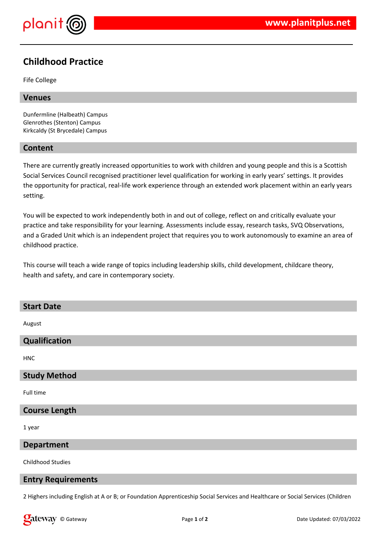

# **Childhood Practice**

Fife College

# **Venues**

Dunfermline (Halbeath) Campus Glenrothes (Stenton) Campus Kirkcaldy (St Brycedale) Campus

# **Content**

There are currently greatly increased opportunities to work with children and young people and this is a Scottish Social Services Council recognised practitioner level qualification for working in early years' settings. It provides the opportunity for practical, real-life work experience through an extended work placement within an early years setting.

You will be expected to work independently both in and out of college, reflect on and critically evaluate your practice and take responsibility for your learning. Assessments include essay, research tasks, SVQ Observations, and a Graded Unit which is an independent project that requires you to work autonomously to examine an area of childhood practice.

This course will teach a wide range of topics including leadership skills, child development, childcare theory, health and safety, and care in contemporary society.

# **Start Date** August **Qualification HNC Study Method** Full time **Course Length** 1 year **Department** Childhood Studies

## **Entry Requirements**

2 Highers including English at A or B; or Foundation Apprenticeship Social Services and Healthcare or Social Services (Children